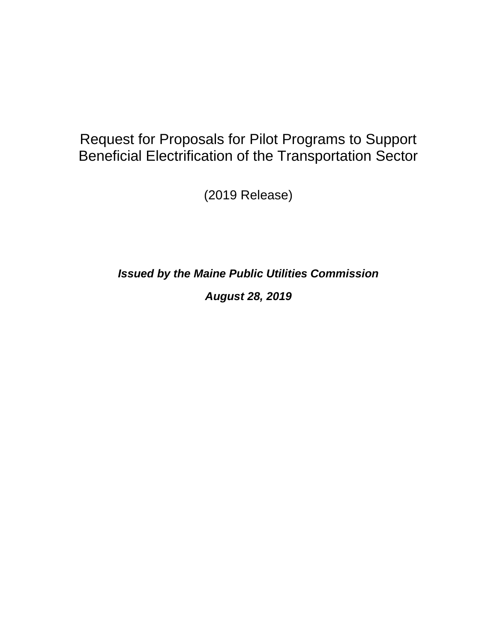# Request for Proposals for Pilot Programs to Support Beneficial Electrification of the Transportation Sector

(2019 Release)

*Issued by the Maine Public Utilities Commission August 28, 2019*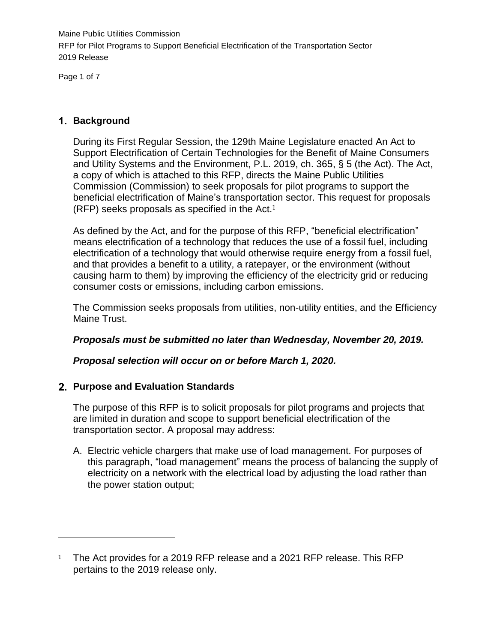Page 1 of 7

 $\overline{a}$ 

## **Background**

During its First Regular Session, the 129th Maine Legislature enacted An Act to Support Electrification of Certain Technologies for the Benefit of Maine Consumers and Utility Systems and the Environment, P.L. 2019, ch. 365, § 5 (the Act). The Act, a copy of which is attached to this RFP, directs the Maine Public Utilities Commission (Commission) to seek proposals for pilot programs to support the beneficial electrification of Maine's transportation sector. This request for proposals (RFP) seeks proposals as specified in the Act.<sup>1</sup>

As defined by the Act, and for the purpose of this RFP, "beneficial electrification" means electrification of a technology that reduces the use of a fossil fuel, including electrification of a technology that would otherwise require energy from a fossil fuel, and that provides a benefit to a utility, a ratepayer, or the environment (without causing harm to them) by improving the efficiency of the electricity grid or reducing consumer costs or emissions, including carbon emissions.

The Commission seeks proposals from utilities, non-utility entities, and the Efficiency Maine Trust.

# *Proposals must be submitted no later than Wednesday, November 20, 2019.*

*Proposal selection will occur on or before March 1, 2020.*

# **Purpose and Evaluation Standards**

The purpose of this RFP is to solicit proposals for pilot programs and projects that are limited in duration and scope to support beneficial electrification of the transportation sector. A proposal may address:

A. Electric vehicle chargers that make use of load management. For purposes of this paragraph, "load management" means the process of balancing the supply of electricity on a network with the electrical load by adjusting the load rather than the power station output;

<sup>&</sup>lt;sup>1</sup> The Act provides for a 2019 RFP release and a 2021 RFP release. This RFP pertains to the 2019 release only.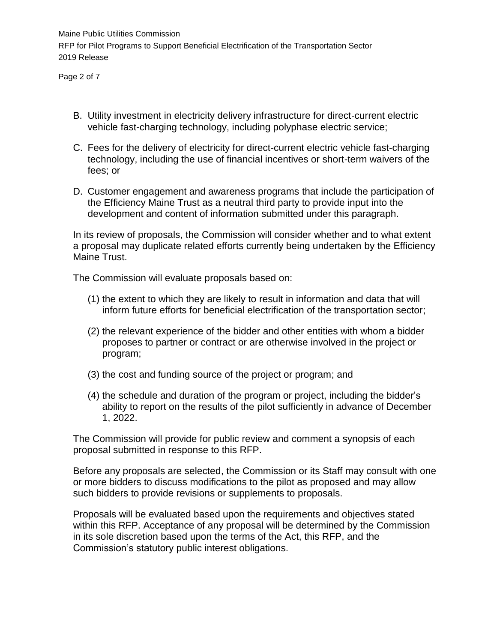Page 2 of 7

- B. Utility investment in electricity delivery infrastructure for direct-current electric vehicle fast-charging technology, including polyphase electric service;
- C. Fees for the delivery of electricity for direct-current electric vehicle fast-charging technology, including the use of financial incentives or short-term waivers of the fees; or
- D. Customer engagement and awareness programs that include the participation of the Efficiency Maine Trust as a neutral third party to provide input into the development and content of information submitted under this paragraph.

In its review of proposals, the Commission will consider whether and to what extent a proposal may duplicate related efforts currently being undertaken by the Efficiency Maine Trust.

The Commission will evaluate proposals based on:

- (1) the extent to which they are likely to result in information and data that will inform future efforts for beneficial electrification of the transportation sector;
- (2) the relevant experience of the bidder and other entities with whom a bidder proposes to partner or contract or are otherwise involved in the project or program;
- (3) the cost and funding source of the project or program; and
- (4) the schedule and duration of the program or project, including the bidder's ability to report on the results of the pilot sufficiently in advance of December 1, 2022.

The Commission will provide for public review and comment a synopsis of each proposal submitted in response to this RFP.

Before any proposals are selected, the Commission or its Staff may consult with one or more bidders to discuss modifications to the pilot as proposed and may allow such bidders to provide revisions or supplements to proposals.

Proposals will be evaluated based upon the requirements and objectives stated within this RFP. Acceptance of any proposal will be determined by the Commission in its sole discretion based upon the terms of the Act, this RFP, and the Commission's statutory public interest obligations.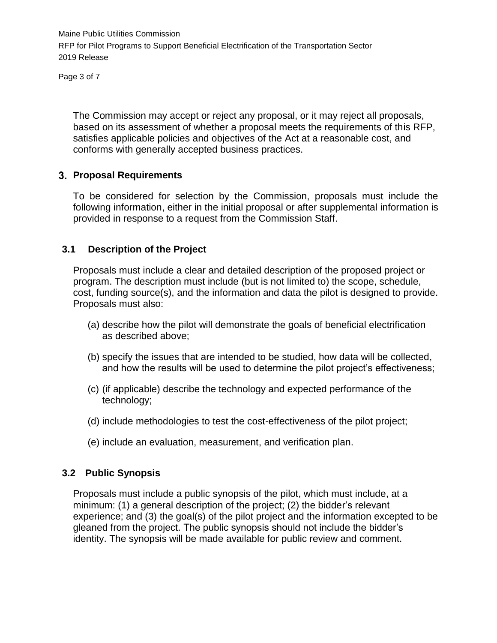Page 3 of 7

The Commission may accept or reject any proposal, or it may reject all proposals, based on its assessment of whether a proposal meets the requirements of this RFP, satisfies applicable policies and objectives of the Act at a reasonable cost, and conforms with generally accepted business practices.

#### **Proposal Requirements**

To be considered for selection by the Commission, proposals must include the following information, either in the initial proposal or after supplemental information is provided in response to a request from the Commission Staff.

## **3.1 Description of the Project**

Proposals must include a clear and detailed description of the proposed project or program. The description must include (but is not limited to) the scope, schedule, cost, funding source(s), and the information and data the pilot is designed to provide. Proposals must also:

- (a) describe how the pilot will demonstrate the goals of beneficial electrification as described above;
- (b) specify the issues that are intended to be studied, how data will be collected, and how the results will be used to determine the pilot project's effectiveness;
- (c) (if applicable) describe the technology and expected performance of the technology;
- (d) include methodologies to test the cost-effectiveness of the pilot project;
- (e) include an evaluation, measurement, and verification plan.

# **3.2 Public Synopsis**

Proposals must include a public synopsis of the pilot, which must include, at a minimum: (1) a general description of the project; (2) the bidder's relevant experience; and (3) the goal(s) of the pilot project and the information excepted to be gleaned from the project. The public synopsis should not include the bidder's identity. The synopsis will be made available for public review and comment.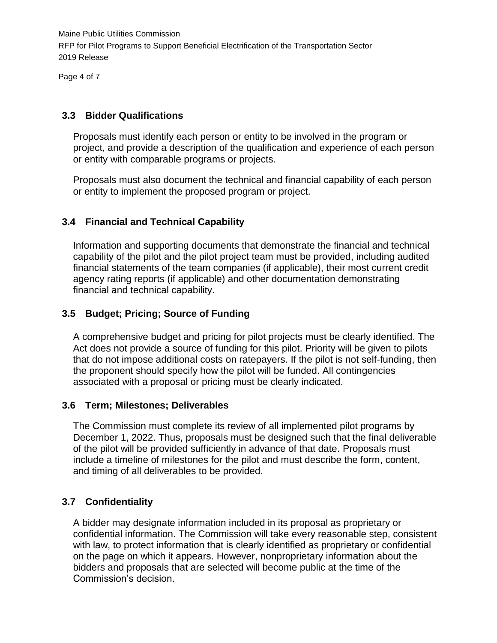Page 4 of 7

## **3.3 Bidder Qualifications**

Proposals must identify each person or entity to be involved in the program or project, and provide a description of the qualification and experience of each person or entity with comparable programs or projects.

Proposals must also document the technical and financial capability of each person or entity to implement the proposed program or project.

# **3.4 Financial and Technical Capability**

Information and supporting documents that demonstrate the financial and technical capability of the pilot and the pilot project team must be provided, including audited financial statements of the team companies (if applicable), their most current credit agency rating reports (if applicable) and other documentation demonstrating financial and technical capability.

## **3.5 Budget; Pricing; Source of Funding**

A comprehensive budget and pricing for pilot projects must be clearly identified. The Act does not provide a source of funding for this pilot. Priority will be given to pilots that do not impose additional costs on ratepayers. If the pilot is not self-funding, then the proponent should specify how the pilot will be funded. All contingencies associated with a proposal or pricing must be clearly indicated.

#### **3.6 Term; Milestones; Deliverables**

The Commission must complete its review of all implemented pilot programs by December 1, 2022. Thus, proposals must be designed such that the final deliverable of the pilot will be provided sufficiently in advance of that date. Proposals must include a timeline of milestones for the pilot and must describe the form, content, and timing of all deliverables to be provided.

# **3.7 Confidentiality**

A bidder may designate information included in its proposal as proprietary or confidential information. The Commission will take every reasonable step, consistent with law, to protect information that is clearly identified as proprietary or confidential on the page on which it appears. However, nonproprietary information about the bidders and proposals that are selected will become public at the time of the Commission's decision.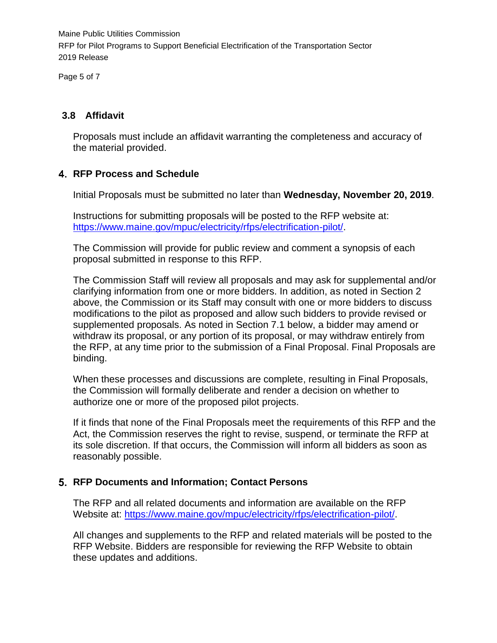Page 5 of 7

## **3.8 Affidavit**

Proposals must include an affidavit warranting the completeness and accuracy of the material provided.

## **RFP Process and Schedule**

Initial Proposals must be submitted no later than **Wednesday, November 20, 2019**.

Instructions for submitting proposals will be posted to the RFP website at: [https://www.maine.gov/mpuc/electricity/rfps/electrification-pilot/.](https://www.maine.gov/mpuc/electricity/rfps/electrification-pilot/)

The Commission will provide for public review and comment a synopsis of each proposal submitted in response to this RFP.

The Commission Staff will review all proposals and may ask for supplemental and/or clarifying information from one or more bidders. In addition, as noted in Section 2 above, the Commission or its Staff may consult with one or more bidders to discuss modifications to the pilot as proposed and allow such bidders to provide revised or supplemented proposals. As noted in Section 7.1 below, a bidder may amend or withdraw its proposal, or any portion of its proposal, or may withdraw entirely from the RFP, at any time prior to the submission of a Final Proposal. Final Proposals are binding.

When these processes and discussions are complete, resulting in Final Proposals, the Commission will formally deliberate and render a decision on whether to authorize one or more of the proposed pilot projects.

If it finds that none of the Final Proposals meet the requirements of this RFP and the Act, the Commission reserves the right to revise, suspend, or terminate the RFP at its sole discretion. If that occurs, the Commission will inform all bidders as soon as reasonably possible.

#### **RFP Documents and Information; Contact Persons**

The RFP and all related documents and information are available on the RFP Website at: [https://www.maine.gov/mpuc/electricity/rfps/electrification-pilot/.](https://www.maine.gov/mpuc/electricity/rfps/electrification-pilot/)

All changes and supplements to the RFP and related materials will be posted to the RFP Website. Bidders are responsible for reviewing the RFP Website to obtain these updates and additions.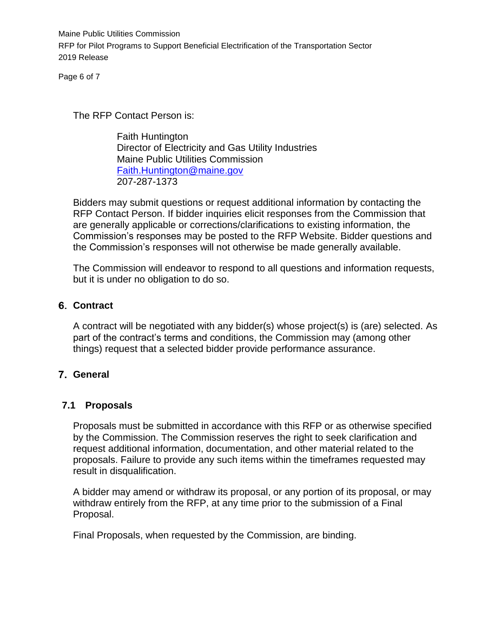Page 6 of 7

The RFP Contact Person is:

Faith Huntington Director of Electricity and Gas Utility Industries Maine Public Utilities Commission [Faith.Huntington@maine.gov](mailto:Faith.Huntington@maine.gov) 207-287-1373

Bidders may submit questions or request additional information by contacting the RFP Contact Person. If bidder inquiries elicit responses from the Commission that are generally applicable or corrections/clarifications to existing information, the Commission's responses may be posted to the RFP Website. Bidder questions and the Commission's responses will not otherwise be made generally available.

The Commission will endeavor to respond to all questions and information requests, but it is under no obligation to do so.

#### **Contract**

A contract will be negotiated with any bidder(s) whose project(s) is (are) selected. As part of the contract's terms and conditions, the Commission may (among other things) request that a selected bidder provide performance assurance.

# **General**

# **7.1 Proposals**

Proposals must be submitted in accordance with this RFP or as otherwise specified by the Commission. The Commission reserves the right to seek clarification and request additional information, documentation, and other material related to the proposals. Failure to provide any such items within the timeframes requested may result in disqualification.

A bidder may amend or withdraw its proposal, or any portion of its proposal, or may withdraw entirely from the RFP, at any time prior to the submission of a Final Proposal.

Final Proposals, when requested by the Commission, are binding.